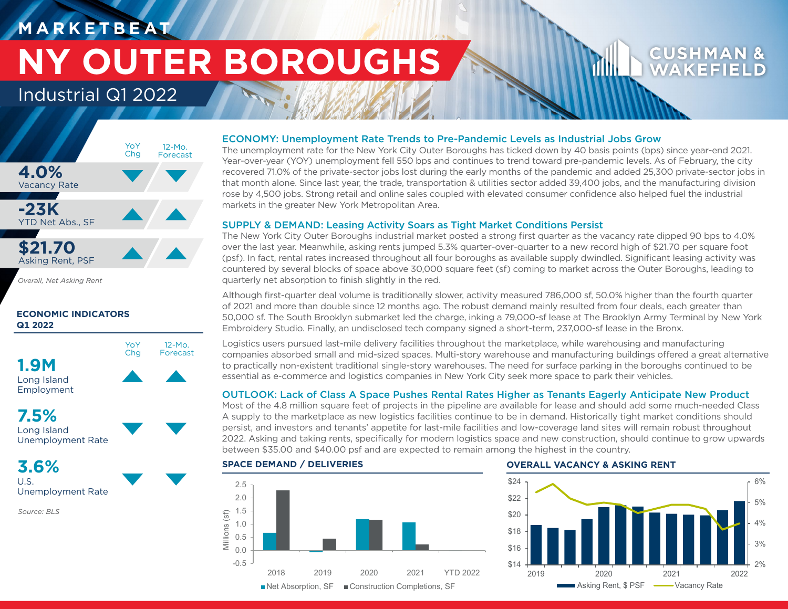### **M A R K E T B E AT**

# **NY OUTER BOROUGHS**

### Industrial Q1 2022



*Overall, Net Asking Rent*

### **ECONOMIC INDICATORS Q1 2022**



Long Island Employment

### **7.5%**

Long Island Unemployment Rate

**3.6%** U.S.

Unemployment Rate

*Source: BLS*

### ECONOMY: Unemployment Rate Trends to Pre-Pandemic Levels as Industrial Jobs Grow

The unemployment rate for the New York City Outer Boroughs has ticked down by 40 basis points (bps) since year-end 2021. Year-over-year (YOY) unemployment fell 550 bps and continues to trend toward pre-pandemic levels. As of February, the city recovered 71.0% of the private-sector jobs lost during the early months of the pandemic and added 25,300 private-sector jobs in that month alone. Since last year, the trade, transportation & utilities sector added 39,400 jobs, and the manufacturing division rose by 4,500 jobs. Strong retail and online sales coupled with elevated consumer confidence also helped fuel the industrial markets in the greater New York Metropolitan Area.

### SUPPLY & DEMAND: Leasing Activity Soars as Tight Market Conditions Persist

The New York City Outer Boroughs industrial market posted a strong first quarter as the vacancy rate dipped 90 bps to 4.0% over the last year. Meanwhile, asking rents jumped 5.3% quarter-over-quarter to a new record high of \$21.70 per square foot (psf). In fact, rental rates increased throughout all four boroughs as available supply dwindled. Significant leasing activity was countered by several blocks of space above 30,000 square feet (sf) coming to market across the Outer Boroughs, leading to quarterly net absorption to finish slightly in the red.

Although first-quarter deal volume is traditionally slower, activity measured 786,000 sf, 50.0% higher than the fourth quarter of 2021 and more than double since 12 months ago. The robust demand mainly resulted from four deals, each greater than 50,000 sf. The South Brooklyn submarket led the charge, inking a 79,000-sf lease at The Brooklyn Army Terminal by New York Embroidery Studio. Finally, an undisclosed tech company signed a short-term, 237,000-sf lease in the Bronx.

Logistics users pursued last-mile delivery facilities throughout the marketplace, while warehousing and manufacturing companies absorbed small and mid-sized spaces. Multi-story warehouse and manufacturing buildings offered a great alternative to practically non-existent traditional single-story warehouses. The need for surface parking in the boroughs continued to be essential as e-commerce and logistics companies in New York City seek more space to park their vehicles.

### OUTLOOK: Lack of Class A Space Pushes Rental Rates Higher as Tenants Eagerly Anticipate New Product

Most of the 4.8 million square feet of projects in the pipeline are available for lease and should add some much-needed Class A supply to the marketplace as new logistics facilities continue to be in demand. Historically tight market conditions should persist, and investors and tenants' appetite for last-mile facilities and low-coverage land sites will remain robust throughout 2022. Asking and taking rents, specifically for modern logistics space and new construction, should continue to grow upwards between \$35.00 and \$40.00 psf and are expected to remain among the highest in the country.



### **SPACE DEMAND / DELIVERIES OVERALL VACANCY & ASKING RENT**



**CUSHMA** WAKEFI